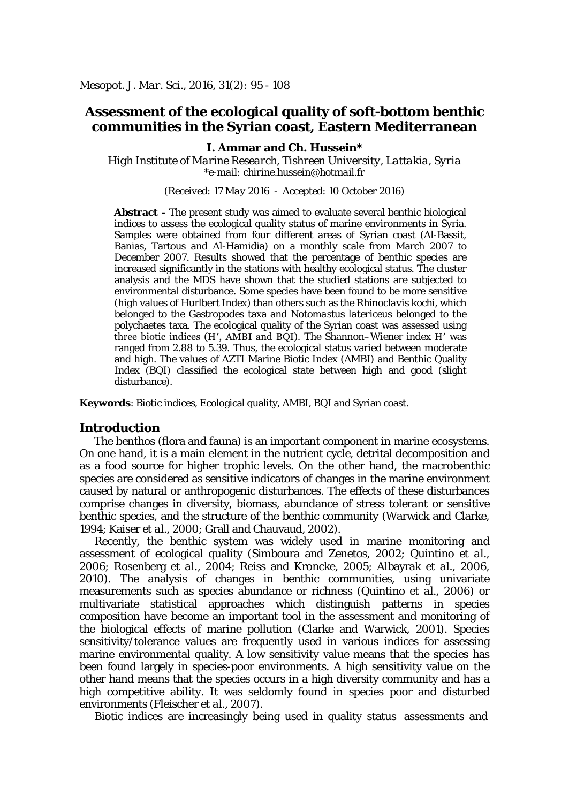# **Assessment of the ecological quality of soft-bottom benthic communities in the Syrian coast, Eastern Mediterranean**

**I. Ammar and Ch. Hussein\***

*High Institute of Marine Research, Tishreen University, Lattakia, Syria \*e-mail: [chirine.hussein@hotmail.fr](mailto:chirine.hussein@hotmail.fr)*

*(Received: 17 May 2016 - Accepted: 10 October 2016)*

**Abstract -** The present study was aimed to evaluate several benthic biological indices to assess the ecological quality status of marine environments in Syria. Samples were obtained from four different areas of Syrian coast (Al-Bassit, Banias, Tartous and Al-Hamidia) on a monthly scale from March 2007 to December 2007. Results showed that the percentage of benthic species are increased significantly in the stations with healthy ecological status. The cluster analysis and the MDS have shown that the studied stations are subjected to environmental disturbance. Some species have been found to be more sensitive (high values of Hurlbert Index) than others such as the *Rhinoclavis kochi*, which belonged to the Gastropodes taxa and *Notomastus latericeus* belonged to the polychaetes taxa. The ecological quality of the Syrian coast was assessed using three biotic indices (H', AMBI and BQI). The Shannon–Wiener index H' was ranged from 2.88 to 5.39. Thus, the ecological status varied between moderate and high. The values of AZTI Marine Biotic Index (AMBI) and Benthic Quality Index (BQI) classified the ecological state between high and good (slight disturbance).

**Keywords**: Biotic indices, Ecological quality, AMBI, BQI and Syrian coast.

# **Introduction**

The benthos (flora and fauna) is an important component in marine ecosystems. On one hand, it is a main element in the nutrient cycle, detrital decomposition and as a food source for higher trophic levels. On the other hand, the macrobenthic species are considered as sensitive indicators of changes in the marine environment caused by natural or anthropogenic disturbances. The effects of these disturbances comprise changes in diversity, biomass, abundance of stress tolerant or sensitive benthic species, and the structure of the benthic community (Warwick and Clarke, 1994; Kaiser *et al*., 2000; Grall and Chauvaud, 2002).

Recently, the benthic system was widely used in marine monitoring and assessment of ecological quality (Simboura and Zenetos, 2002; Quintino *et al*., 2006; Rosenberg *et al*., 2004; Reiss and Kroncke, 2005; Albayrak *et al*., 2006, 2010). The analysis of changes in benthic communities, using univariate measurements such as species abundance or richness (Quintino *et al*., 2006) or multivariate statistical approaches which distinguish patterns in species composition have become an important tool in the assessment and monitoring of the biological effects of marine pollution (Clarke and Warwick, 2001). Species sensitivity/tolerance values are frequently used in various indices for assessing marine environmental quality. A low sensitivity value means that the species has been found largely in species-poor environments. A high sensitivity value on the other hand means that the species occurs in a high diversity community and has a high competitive ability. It was seldomly found in species poor and disturbed environments (Fleischer *et al*., 2007).

Biotic indices are increasingly being used in quality status assessments and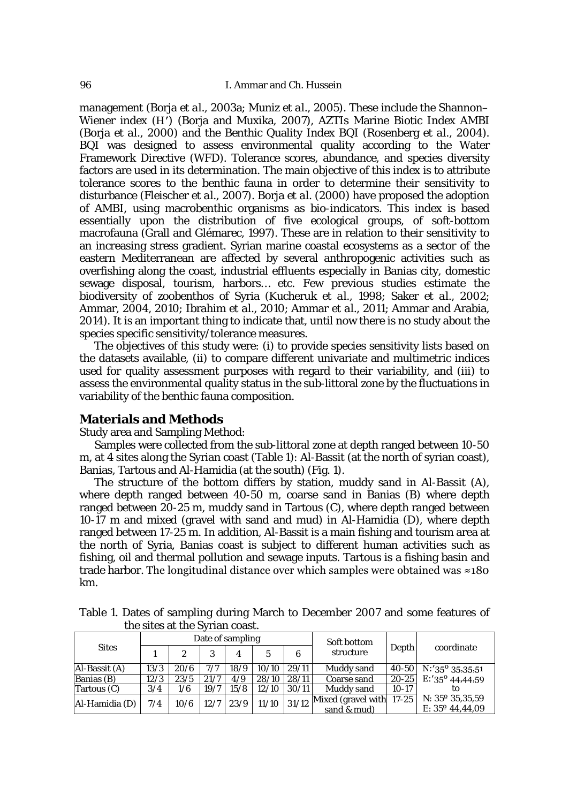management (Borja *et al*., 2003a; Muniz *et al*., 2005). These include the Shannon– Wiener index (H′) (Borja and Muxika, 2007), AZTIs Marine Biotic Index AMBI (Borja *et al*., 2000) and the Benthic Quality Index BQI (Rosenberg *et al*., 2004). BQI was designed to assess environmental quality according to the Water Framework Directive (WFD). Tolerance scores, abundance, and species diversity factors are used in its determination. The main objective of this index is to attribute tolerance scores to the benthic fauna in order to determine their sensitivity to disturbance (Fleischer *et al*., 2007). Borja *et al.* (2000) have proposed the adoption of AMBI, using macrobenthic organisms as bio-indicators. This index is based essentially upon the distribution of five ecological groups, of soft-bottom macrofauna (Grall and Glémarec, 1997). These are in relation to their sensitivity to an increasing stress gradient. Syrian marine coastal ecosystems as a sector of the eastern Mediterranean are affected by several anthropogenic activities such as overfishing along the coast, industrial effluents especially in Banias city, domestic sewage disposal, tourism, harbors... etc. Few previous studies estimate the biodiversity of zoobenthos of Syria (Kucheruk *et al*., 1998; Saker *et al*., 2002; Ammar, 2004, 2010; Ibrahim *et al*., 2010; Ammar *et al*., 2011; Ammar and Arabia, 2014). It is an important thing to indicate that, until now there is no study about the species specific sensitivity/tolerance measures.

The objectives of this study were: (i) to provide species sensitivity lists based on the datasets available, (ii) to compare different univariate and multimetric indices used for quality assessment purposes with regard to their variability, and (iii) to assess the environmental quality status in the sub-littoral zone by the fluctuations in variability of the benthic fauna composition.

# **Materials and Methods**

Study area and Sampling Method:

Samples were collected from the sub-littoral zone at depth ranged between 10-50 m, at 4 sites along the Syrian coast (Table 1): Al-Bassit (at the north of syrian coast), Banias, Tartous and Al-Hamidia (at the south) (Fig. 1).

The structure of the bottom differs by station, muddy sand in Al-Bassit (A), where depth ranged between 40-50 m, coarse sand in Banias (B) where depth ranged between 20-25 m, muddy sand in Tartous (C), where depth ranged between 10-17 m and mixed (gravel with sand and mud) in Al-Hamidia (D), where depth ranged between 17-25 m. In addition, Al-Bassit is a main fishing and tourism area at the north of Syria, Banias coast is subject to different human activities such as fishing, oil and thermal pollution and sewage inputs. Tartous is a fishing basin and trade harbor. The longitudinal distance over which samples were obtained was ≈180 km.

Table 1. Dates of sampling during March to December 2007 and some features of the sites at the Syrian coast.

| <b>Sites</b>   | Date of sampling |      |      |      |       |       | Soft bottom                  |           |                                |  |
|----------------|------------------|------|------|------|-------|-------|------------------------------|-----------|--------------------------------|--|
|                |                  | 2    | 3    | 4    | 5     | 6     | structure                    | Depth     | coordinate                     |  |
| Al-Bassit (A)  | 13/3             | 20/6 | 7/7  | 18/9 | 10/10 | 29/11 | Muddy sand                   | $40-50$   | $N:35^035,35,51$               |  |
| Banias (B)     | 12/3             | 23/5 | 21/7 | 4/9  | 28/10 | 28/11 | Coarse sand                  | $20 - 25$ | $E$ :'35 <sup>o</sup> 44,44,59 |  |
| Tartous (C)    | 3/4              | 1/6  | 19/7 | 15/8 | 12/10 | 30/11 | Muddy sand                   | $10-17$   | TΩ                             |  |
| Al-Hamidia (D) | 7/4              | 10/6 | 12/7 | 23/9 | 11/10 | 31/12 | Mixed (gravel with $17-25$ ) |           | $N: 35^{\circ} 35,35,59$       |  |
|                |                  |      |      |      |       |       | sand & mud)                  |           | $E: 35^{\circ} 44.44.09$       |  |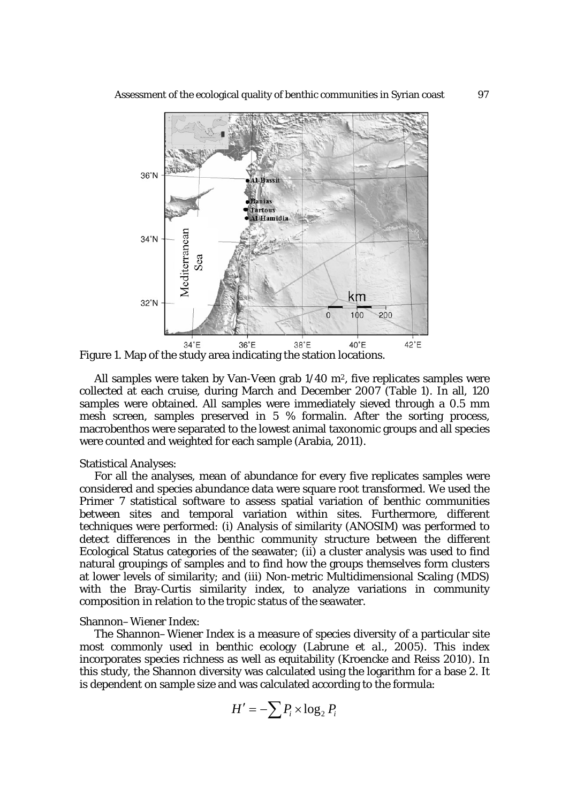

Figure 1. Map of the study area indicating the station locations.

All samples were taken by Van-Veen grab 1/40 m<sup>2</sup>, five replicates samples were collected at each cruise, during March and December 2007 (Table 1). In all, 120 samples were obtained. All samples were immediately sieved through a 0.5 mm mesh screen, samples preserved in 5 % formalin. After the sorting process, macrobenthos were separated to the lowest animal taxonomic groups and all species were counted and weighted for each sample (Arabia, 2011).

Statistical Analyses:

For all the analyses, mean of abundance for every five replicates samples were considered and species abundance data were square root transformed. We used the Primer 7 statistical software to assess spatial variation of benthic communities between sites and temporal variation within sites. Furthermore, different techniques were performed: (i) Analysis of similarity (ANOSIM) was performed to detect differences in the benthic community structure between the different Ecological Status categories of the seawater; (ii) a cluster analysis was used to find natural groupings of samples and to find how the groups themselves form clusters at lower levels of similarity; and (iii) Non-metric Multidimensional Scaling (MDS) with the Bray-Curtis similarity index, to analyze variations in community composition in relation to the tropic status of the seawater.

Shannon–Wiener Index:

The Shannon–Wiener Index is a measure of species diversity of a particular site most commonly used in benthic ecology (Labrune *et al*., 2005). This index incorporates species richness as well as equitability (Kroencke and Reiss 2010). In this study, the Shannon diversity was calculated using the logarithm for a base 2. It is dependent on sample size and was calculated according to the formula:

$$
H' = -\sum P_i \times \log_2 P_i
$$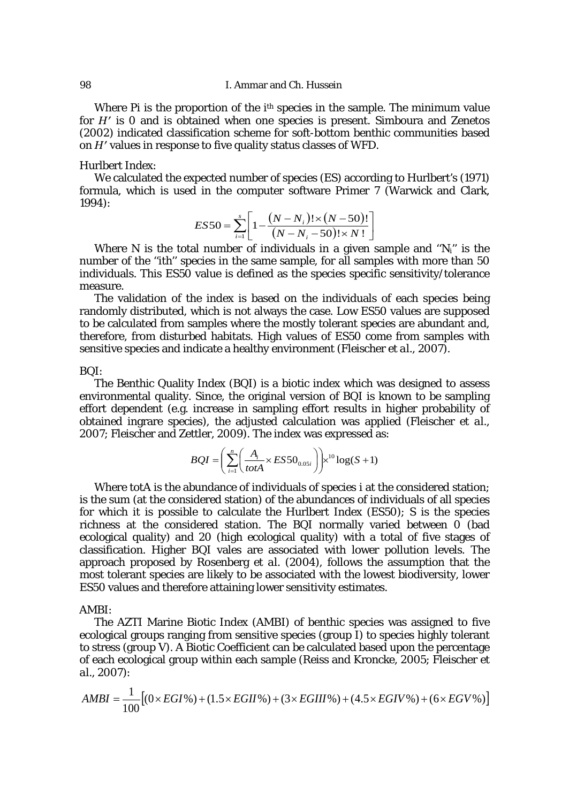98 I. Ammar and Ch. Hussein

Where *Pi* is the proportion of the *ith* species in the sample. The minimum value for *H′* is 0 and is obtained when one species is present. Simboura and Zenetos (2002) indicated classification scheme for soft-bottom benthic communities based on *H′* values in response to five quality status classes of WFD.

#### Hurlbert Index:

We calculated the expected number of species (ES) according to Hurlbert's (1971) formula, which is used in the computer software Primer 7 (Warwick and Clark, 1994):

$$
ES50 = \sum_{i=1}^{s} \left[ 1 - \frac{(N - N_i)! \times (N - 50)!}{(N - N_i - 50)! \times N!} \right]
$$

Where *N* is the total number of individuals in a given sample and ''*Ni*'' is the number of the ''*ith*'' species in the same sample, for all samples with more than 50 individuals. This ES50 value is defined as the species specific sensitivity/tolerance measure.

The validation of the index is based on the individuals of each species being randomly distributed, which is not always the case. Low ES50 values are supposed to be calculated from samples where the mostly tolerant species are abundant and, therefore, from disturbed habitats. High values of ES50 come from samples with sensitive species and indicate a healthy environment (Fleischer *et al*., 2007).

# BQI:

The Benthic Quality Index (BQI) is a biotic index which was designed to assess environmental quality. Since, the original version of BQI is known to be sampling effort dependent (e.g. increase in sampling effort results in higher probability of obtained ingrare species), the adjusted calculation was applied (Fleischer *et al*., 2007; Fleischer and Zettler, 2009). The index was expressed as:

$$
BQI = \left(\sum_{i=1}^{n} \left(\frac{A_i}{totA} \times ES50_{0.05i}\right)\right) \times^{10} \log(S+1)
$$

Where *totA* is the abundance of individuals of species *i* at the considered station; is the sum (at the considered station) of the abundances of individuals of all species for which it is possible to calculate the Hurlbert Index (ES50); *S* is the species richness at the considered station. The BQI normally varied between 0 (bad ecological quality) and 20 (high ecological quality) with a total of five stages of classification. Higher BQI vales are associated with lower pollution levels. The approach proposed by Rosenberg *et al*. (2004), follows the assumption that the most tolerant species are likely to be associated with the lowest biodiversity, lower ES50 values and therefore attaining lower sensitivity estimates.

#### AMBI:

The AZTI Marine Biotic Index (AMBI) of benthic species was assigned to five ecological groups ranging from sensitive species (group I) to species highly tolerant to stress (group V). A Biotic Coefficient can be calculated based upon the percentage of each ecological group within each sample (Reiss and Kroncke, 2005; Fleischer *et al*., 2007):

$$
AMBI = \frac{1}{100} [(0 \times EGI\%) + (1.5 \times EGII\%) + (3 \times EGII\%) + (4.5 \times EGIV\%) + (6 \times EGV\%)]
$$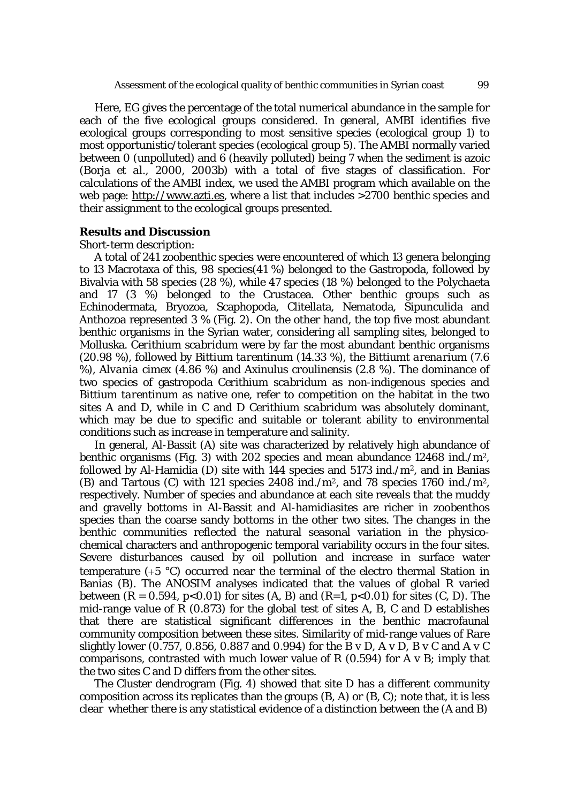Here, EG gives the percentage of the total numerical abundance in the sample for each of the five ecological groups considered. In general, AMBI identifies five ecological groups corresponding to most sensitive species (ecological group 1) to most opportunistic/tolerant species (ecological group 5). The AMBI normally varied between 0 (unpolluted) and 6 (heavily polluted) being 7 when the sediment is azoic (Borja *et al*., 2000, 2003b) with a total of five stages of classification. For calculations of the AMBI index, we used the AMBI program which available on the web page: [http://www.azti.es,](http://www.azti.es/) where a list that includes >2700 benthic species and their assignment to the ecological groups presented.

#### **Results and Discussion**

# Short-term description:

A total of 241 zoobenthic species were encountered of which 13 genera belonging to 13 Macrotaxa of this, 98 species(41 %) belonged to the Gastropoda, followed by Bivalvia with 58 species (28 %), while 47 species (18 %) belonged to the Polychaeta and 17 (3 %) belonged to the Crustacea. Other benthic groups such as Echinodermata, Bryozoa, Scaphopoda, Clitellata, Nematoda, Sipunculida and Anthozoa represented 3 % (Fig. 2). On the other hand, the top five most abundant benthic organisms in the Syrian water, considering all sampling sites, belonged to Molluska. *Cerithium scabridum* were by far the most abundant benthic organisms (20.98 %), followed by *Bittium tarentinum* (14.33 %), the *Bittiumt arenarium* (7.6 %), *Alvania cimex* (4.86 %) and *Axinulus croulinensis* (2.8 %). The dominance of two species of gastropoda *Cerithium scabridum* as non-indigenous species and *Bittium tarentinum* as native one, refer to competition on the habitat in the two sites A and D, while in C and D *Cerithium scabridum* was absolutely dominant, which may be due to specific and suitable or tolerant ability to environmental conditions such as increase in temperature and salinity.

In general, Al-Bassit (A) site was characterized by relatively high abundance of benthic organisms (Fig. 3) with 202 species and mean abundance  $12468$  ind./m<sup>2</sup>, followed by Al-Hamidia (D) site with 144 species and 5173 ind./m<sup>2</sup>, and in Banias (B) and Tartous (C) with 121 species 2408 ind./m2, and 78 species 1760 ind./m2, respectively. Number of species and abundance at each site reveals that the muddy and gravelly bottoms in Al-Bassit and Al-hamidiasites are richer in zoobenthos species than the coarse sandy bottoms in the other two sites. The changes in the benthic communities reflected the natural seasonal variation in the physicochemical characters and anthropogenic temporal variability occurs in the four sites. Severe disturbances caused by oil pollution and increase in surface water temperature (+5 °C) occurred near the terminal of the electro thermal Station in Banias (B). The ANOSIM analyses indicated that the values of global R varied between  $(R = 0.594, p<0.01)$  for sites  $(A, B)$  and  $(R=1, p<0.01)$  for sites  $(C, D)$ . The mid-range value of R  $(0.873)$  for the global test of sites A, B, C and D establishes that there are statistical significant differences in the benthic macrofaunal community composition between these sites. Similarity of mid-range values of Rare slightly lower (0.757, 0.856, 0.887 and 0.994) for the B v D, A v D, B v C and A v C comparisons, contrasted with much lower value of R (0.594) for A v B; imply that the two sites C and D differs from the other sites.

The Cluster dendrogram (Fig. 4) showed that site D has a different community composition across its replicates than the groups  $(B, A)$  or  $(B, C)$ ; note that, it is less clear whether there is any statistical evidence of a distinction between the (A and B)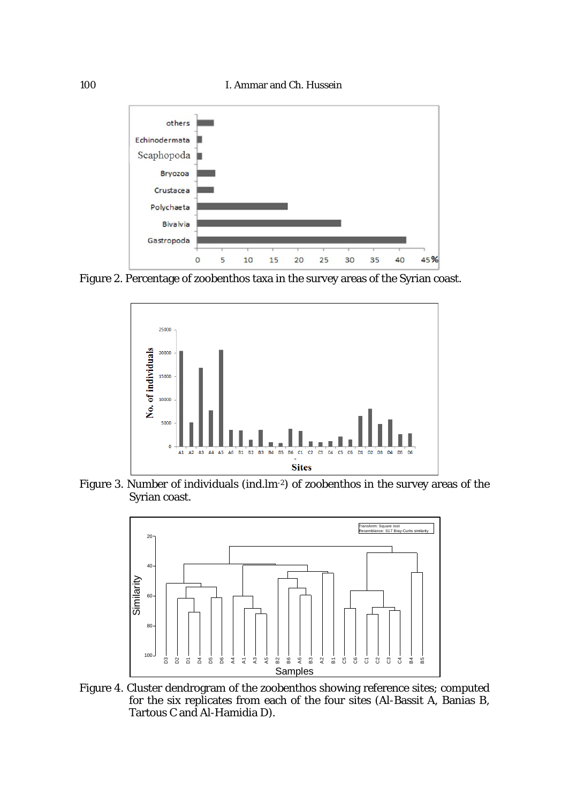

Figure 2. Percentage of zoobenthos taxa in the survey areas of the Syrian coast.



Figure 3. Number of individuals (ind.lm-2) of zoobenthos in the survey areas of the Syrian coast.



Figure 4. Cluster dendrogram of the zoobenthos showing reference sites; computed for the six replicates from each of the four sites (Al-Bassit A, Banias B, Tartous C and Al-Hamidia D).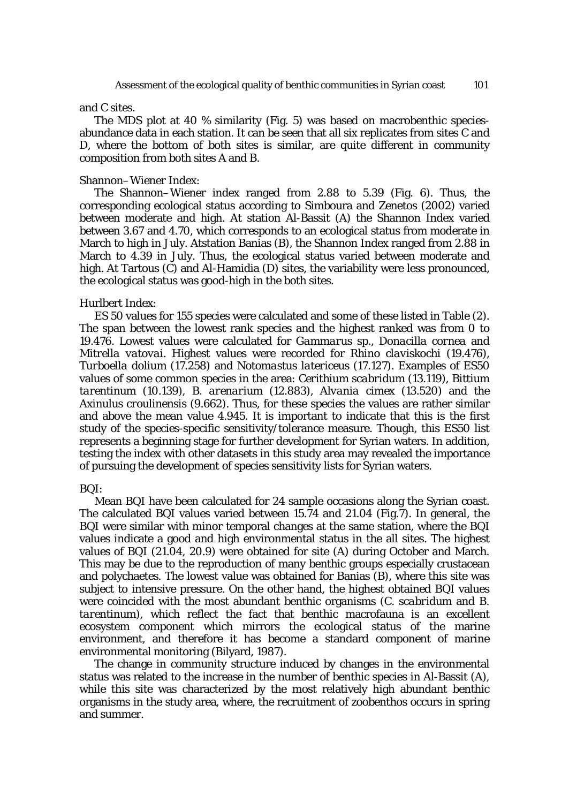# and C sites.

The MDS plot at 40 % similarity (Fig. 5) was based on macrobenthic speciesabundance data in each station. It can be seen that all six replicates from sites C and D, where the bottom of both sites is similar, are quite different in community composition from both sites A and B.

#### Shannon–Wiener Index:

The Shannon–Wiener index ranged from 2.88 to 5.39 (Fig. 6). Thus, the corresponding ecological status according to Simboura and Zenetos (2002) varied between moderate and high. At station Al-Bassit (A) the Shannon Index varied between 3.67 and 4.70, which corresponds to an ecological status from moderate in March to high in July. Atstation Banias (B), the Shannon Index ranged from 2.88 in March to 4.39 in July. Thus, the ecological status varied between moderate and high. At Tartous (C) and Al-Hamidia (D) sites, the variability were less pronounced, the ecological status was good-high in the both sites.

#### Hurlbert Index:

ES 50 values for 155 species were calculated and some of these listed in Table (2). The span between the lowest rank species and the highest ranked was from 0 to 19.476. Lowest values were calculated for *Gammarus* sp., *Donacilla cornea* and *Mitrella vatovai*. Highest values were recorded for *Rhino claviskochi* (19.476), *Turboella dolium* (17.258) and *Notomastus latericeus* (17.127). Examples of ES50 values of some common species in the area: *Cerithium scabridum* (13.119), *Bittium tarentinum* (10.139), *B. arenarium* (12.883), *Alvania cimex* (13.520) and the *Axinulus croulinensis* (9.662). Thus, for these species the values are rather similar and above the mean value 4.945. It is important to indicate that this is the first study of the species-specific sensitivity/tolerance measure. Though, this ES50 list represents a beginning stage for further development for Syrian waters. In addition, testing the index with other datasets in this study area may revealed the importance of pursuing the development of species sensitivity lists for Syrian waters.

#### BQI:

Mean BQI have been calculated for 24 sample occasions along the Syrian coast. The calculated BQI values varied between 15.74 and 21.04 (Fig.7). In general, the BQI were similar with minor temporal changes at the same station, where the BQI values indicate a good and high environmental status in the all sites. The highest values of BQI (21.04, 20.9) were obtained for site (A) during October and March. This may be due to the reproduction of many benthic groups especially crustacean and polychaetes. The lowest value was obtained for Banias (B), where this site was subject to intensive pressure. On the other hand, the highest obtained BQI values were coincided with the most abundant benthic organisms (*C. scabridum* and *B. tarentinum*), which reflect the fact that benthic macrofauna is an excellent ecosystem component which mirrors the ecological status of the marine environment, and therefore it has become a standard component of marine environmental monitoring (Bilyard, 1987).

The change in community structure induced by changes in the environmental status was related to the increase in the number of benthic species in Al-Bassit (A), while this site was characterized by the most relatively high abundant benthic organisms in the study area, where, the recruitment of zoobenthos occurs in spring and summer.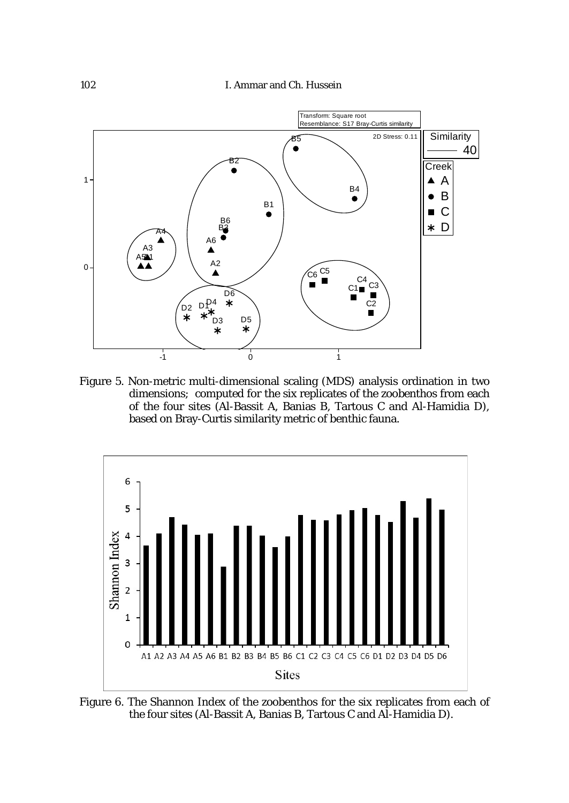102 I. Ammar and Ch. Hussein



Figure 5. Non-metric multi-dimensional scaling (MDS) analysis ordination in two dimensions; computed for the six replicates of the zoobenthos from each of the four sites (Al-Bassit A, Banias B, Tartous C and Al-Hamidia D), based on Bray-Curtis similarity metric of benthic fauna.



Figure 6. The Shannon Index of the zoobenthos for the six replicates from each of the four sites (Al-Bassit A, Banias B, Tartous C and Al-Hamidia D).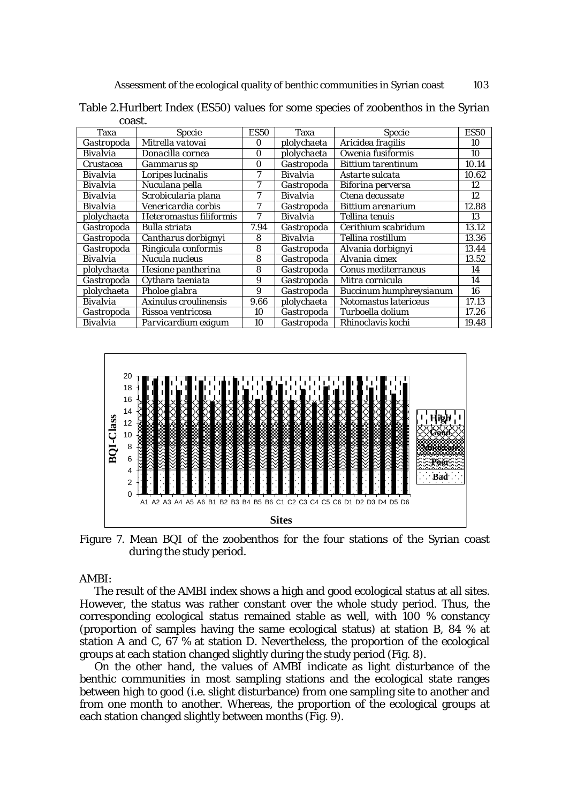| Taxa            | <b>Specie</b>           | <b>ES50</b> | Taxa            | <b>Specie</b>           | <b>ES50</b> |  |  |  |  |
|-----------------|-------------------------|-------------|-----------------|-------------------------|-------------|--|--|--|--|
| Gastropoda      | Mitrella vatovai        | $\Omega$    | plolychaeta     | Aricidea fragilis       | 10          |  |  |  |  |
| Bivalvia        | Donacilla cornea        | $\Omega$    | plolychaeta     | Owenia fusiformis       | 10          |  |  |  |  |
| Crustacea       | <i>Gammarus sp</i>      | $\Omega$    | Gastropoda      | Bittium tarentinum      | 10.14       |  |  |  |  |
| Bivalvia        | Loripes lucinalis       | 7           | Bivalvia        | Astarte sulcata         | 10.62       |  |  |  |  |
| Bivalvia        | Nuculana pella          |             | Gastropoda      | Biforina perversa       | 12          |  |  |  |  |
| Bivalvia        | Scrobicularia plana     |             | <b>Bivalvia</b> | Ctena decussate         | 12          |  |  |  |  |
| Bivalvia        | Venericardia corbis     |             | Gastropoda      | Bittium arenarium       | 12.88       |  |  |  |  |
| plolychaeta     | Heteromastus filiformis | 7           | Bivalvia        | Tellina tenuis          | 13          |  |  |  |  |
| Gastropoda      | Bulla striata           | 7.94        | Gastropoda      | Cerithium scabridum     | 13.12       |  |  |  |  |
| Gastropoda      | Cantharus dorbignyi     | 8           | Bivalvia        | Tellina rostillum       | 13.36       |  |  |  |  |
| Gastropoda      | Ringicula conformis     | 8           | Gastropoda      | Alvania dorbignyi       | 13.44       |  |  |  |  |
| Bivalvia        | Nucula nucleus          | 8           | Gastropoda      | Alvania cimex           | 13.52       |  |  |  |  |
| plolychaeta     | Hesione pantherina      | 8           | Gastropoda      | Conus mediterraneus     | 14          |  |  |  |  |
| Gastropoda      | Cythara taeniata        | 9           | Gastropoda      | Mitra cornicula         | 14          |  |  |  |  |
| plolychaeta     | Pholoe glabra           | 9           | Gastropoda      | Buccinum humphreysianum | 16          |  |  |  |  |
| Bivalvia        | Axinulus croulinensis   | 9.66        | plolychaeta     | Notomastus latericeus   | 17.13       |  |  |  |  |
| Gastropoda      | Rissoa ventricosa       | 10          | Gastropoda      | Turboella dolium        | 17.26       |  |  |  |  |
| <b>Bivalvia</b> | Parvicardium exigum     | 10          | Gastropoda      | Rhinoclavis kochi       | 19.48       |  |  |  |  |

Table 2.Hurlbert Index (ES50) values for some species of zoobenthos in the Syrian coast.



Figure 7. Mean BQI of the zoobenthos for the four stations of the Syrian coast during the study period.

# AMBI:

The result of the AMBI index shows a high and good ecological status at all sites. However, the status was rather constant over the whole study period. Thus, the corresponding ecological status remained stable as well, with 100 % constancy (proportion of samples having the same ecological status) at station B, 84 % at station A and C,  $67\%$  at station D. Nevertheless, the proportion of the ecological groups at each station changed slightly during the study period (Fig. 8).

On the other hand, the values of AMBI indicate as light disturbance of the benthic communities in most sampling stations and the ecological state ranges between high to good (*i.e.* slight disturbance) from one sampling site to another and from one month to another. Whereas, the proportion of the ecological groups at each station changed slightly between months (Fig. 9).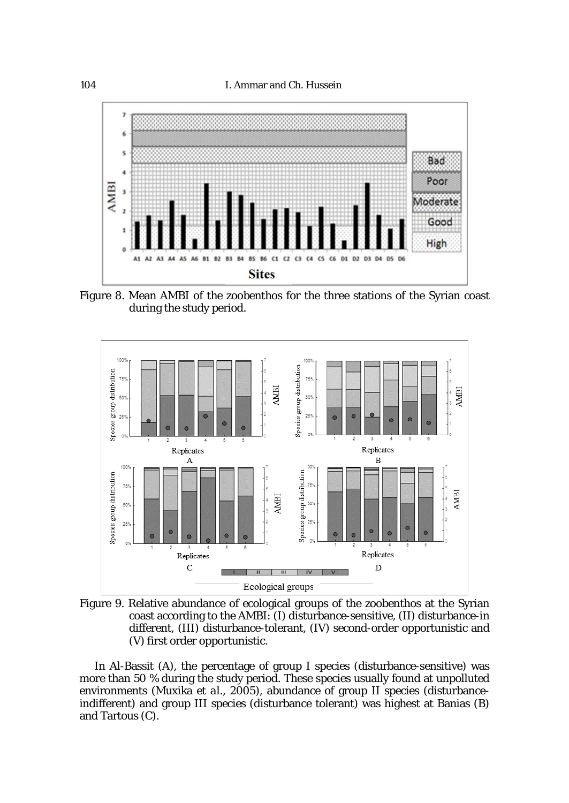104 I. Ammar and Ch. Hussein



Figure 8. Mean AMBI of the zoobenthos for the three stations of the Syrian coast during the study period.



Figure 9. Relative abundance of ecological groups of the zoobenthos at the Syrian coast according to the AMBI: (I) disturbance-sensitive, (II) disturbance-in different, (III) disturbance-tolerant, (IV) second-order opportunistic and (V) first order opportunistic.

In Al-Bassit (A), the percentage of group I species (disturbance-sensitive) was more than 50 % during the study period. These species usually found at unpolluted environments (Muxika *et al*., 2005), abundance of group II species (disturbanceindifferent) and group III species (disturbance tolerant) was highest at Banias (B) and Tartous (C).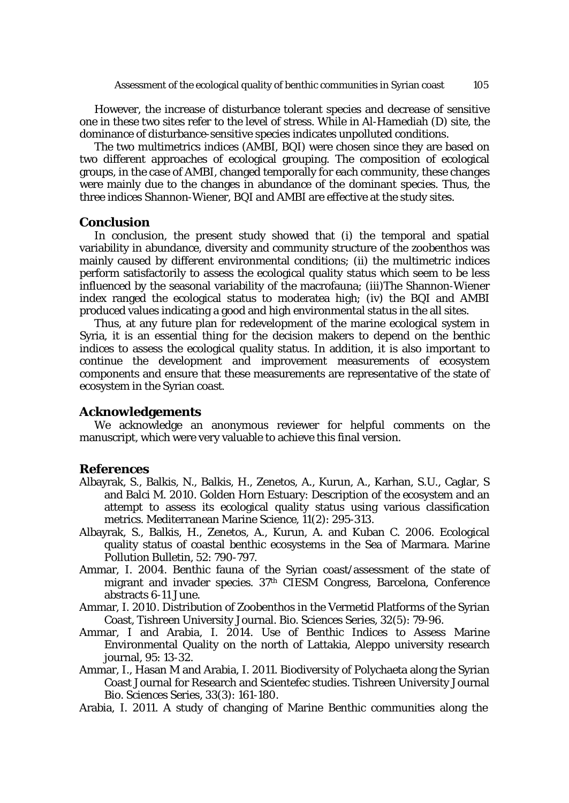However, the increase of disturbance tolerant species and decrease of sensitive one in these two sites refer to the level of stress. While in Al-Hamediah (D) site, the dominance of disturbance-sensitive species indicates unpolluted conditions.

The two multimetrics indices (AMBI, BQI) were chosen since they are based on two different approaches of ecological grouping. The composition of ecological groups, in the case of AMBI, changed temporally for each community, these changes were mainly due to the changes in abundance of the dominant species. Thus, the three indices Shannon-Wiener, BQI and AMBI are effective at the study sites.

# **Conclusion**

In conclusion, the present study showed that (i) the temporal and spatial variability in abundance, diversity and community structure of the zoobenthos was mainly caused by different environmental conditions; (ii) the multimetric indices perform satisfactorily to assess the ecological quality status which seem to be less influenced by the seasonal variability of the macrofauna; (iii)The Shannon-Wiener index ranged the ecological status to moderatea high; (iv) the BQI and AMBI produced values indicating a good and high environmental status in the all sites.

Thus, at any future plan for redevelopment of the marine ecological system in Syria, it is an essential thing for the decision makers to depend on the benthic indices to assess the ecological quality status. In addition, it is also important to continue the development and improvement measurements of ecosystem components and ensure that these measurements are representative of the state of ecosystem in the Syrian coast.

# **Acknowledgements**

We acknowledge an anonymous reviewer for helpful comments on the manuscript, which were very valuable to achieve this final version.

# **References**

- Albayrak, S., Balkis, N., Balkis, H., Zenetos, A., Kurun, A., Karhan, S.U., Caglar, S and Balci M. 2010. Golden Horn Estuary: Description of the ecosystem and an attempt to assess its ecological quality status using various classification metrics. Mediterranean Marine Science*,* 11(2): 295-313.
- Albayrak, S., Balkis, H., Zenetos, A., Kurun, A. and Kuban C. 2006. Ecological quality status of coastal benthic ecosystems in the Sea of Marmara. Marine Pollution Bulletin, 52: 790-797.
- Ammar, I. 2004. Benthic fauna of the Syrian coast/assessment of the state of migrant and invader species. 37th CIESM Congress, Barcelona, Conference abstracts 6-11 June.
- Ammar, I. 2010. Distribution of Zoobenthos in the Vermetid Platforms of the Syrian Coast, Tishreen University Journal. Bio. Sciences Series, 32(5): 79-96.
- Ammar, I and Arabia, I. 2014. Use of Benthic Indices to Assess Marine Environmental Quality on the north of Lattakia, Aleppo university research journal, 95: 13-32.
- Ammar, I., Hasan M and Arabia, I. 2011. Biodiversity of Polychaeta along the Syrian Coast Journal for Research and Scientefec studies. Tishreen University Journal Bio. Sciences Series, 33(3): 161-180.
- Arabia, I. 2011. A study of changing of Marine Benthic communities along the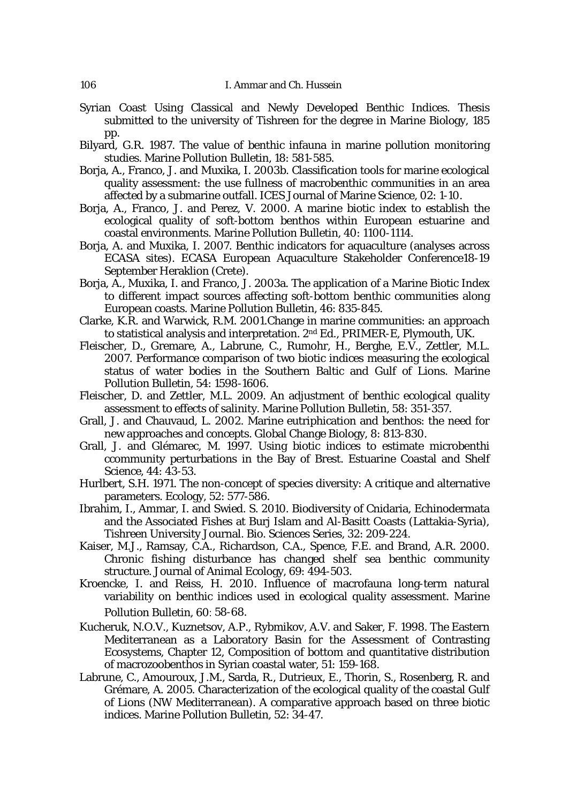- Syrian Coast Using Classical and Newly Developed Benthic Indices. Thesis submitted to the university of Tishreen for the degree in Marine Biology, 185 pp.
- Bilyard, G.R. 1987. The value of benthic infauna in marine pollution monitoring studies. Marine Pollution Bulletin, 18: 581-585.
- Borja, A., Franco, J. and Muxika, I. 2003b. Classification tools for marine ecological quality assessment: the use fullness of macrobenthic communities in an area affected by a submarine outfall. ICES Journal of Marine Science, 02: 1-10.
- Borja, A., Franco, J. and Perez, V. 2000. A marine biotic index to establish the ecological quality of soft-bottom benthos within European estuarine and coastal environments. Marine Pollution Bulletin, 40: 1100-1114.
- Borja, A. and Muxika, I. 2007. Benthic indicators for aquaculture (analyses across ECASA sites). ECASA European Aquaculture Stakeholder Conference18-19 September Heraklion (Crete).
- Borja, A., Muxika, I. and Franco, J. 2003a. The application of a Marine Biotic Index to different impact sources affecting soft-bottom benthic communities along European coasts. Marine Pollution Bulletin, 46: 835-845.
- Clarke, K.R. and Warwick, R.M. 2001.Change in marine communities: an approach to statistical analysis and interpretation. 2nd Ed., PRIMER-E, Plymouth, UK.
- Fleischer, D., Gremare, A., Labrune, C., Rumohr, H., Berghe, E.V., Zettler, M.L. 2007. Performance comparison of two biotic indices measuring the ecological status of water bodies in the Southern Baltic and Gulf of Lions. Marine Pollution Bulletin, 54: 1598-1606.
- Fleischer, D. and Zettler, M.L. 2009. An adjustment of benthic ecological quality assessment to effects of salinity. Marine Pollution Bulletin, 58: 351-357.
- Grall, J. and Chauvaud, L. 2002. Marine eutriphication and benthos: the need for new approaches and concepts. Global Change Biology, 8: 813-830.
- Grall, J. and Glémarec, M. 1997. Using biotic indices to estimate microbenthi ccommunity perturbations in the Bay of Brest. Estuarine Coastal and Shelf Science, 44: 43-53.
- Hurlbert, S.H. 1971. The non-concept of species diversity: A critique and alternative parameters. Ecology, 52: 577-586.
- Ibrahim, I., Ammar, I. and Swied. S. 2010. Biodiversity of Cnidaria, Echinodermata and the Associated Fishes at Burj Islam and Al-Basitt Coasts (Lattakia-Syria), Tishreen University Journal. Bio. Sciences Series, 32: 209-224.
- Kaiser, M.J., Ramsay, C.A., Richardson, C.A., Spence, F.E. and Brand, A.R. 2000. Chronic fishing disturbance has changed shelf sea benthic community structure. Journal of Animal Ecology, 69: 494-503.
- Kroencke, I. and Reiss, H. 2010. Influence of macrofauna long-term natural variability on benthic indices used in ecological quality assessment. Marine Pollution Bulletin, 60: 58-68.
- Kucheruk, N.O.V., Kuznetsov, A.P., Rybmikov, A.V. and Saker, F. 1998. [The Eastern](http://link.springer.com/book/10.1007/978-94-011-4796-5)  [Mediterranean as a Laboratory Basin for the Assessment of Contrasting](http://link.springer.com/book/10.1007/978-94-011-4796-5)  [Ecosystems,](http://link.springer.com/book/10.1007/978-94-011-4796-5) Chapter 12, Composition of bottom and quantitative distribution of macrozoobenthos in Syrian coastal water, 51: 159-168.
- Labrune, C., Amouroux, J.M., Sarda, R., Dutrieux, E., Thorin, S., Rosenberg, R. and Grémare, A. 2005. Characterization of the ecological quality of the coastal Gulf of Lions (NW Mediterranean). A comparative approach based on three biotic indices. Marine Pollution Bulletin, 52: 34-47.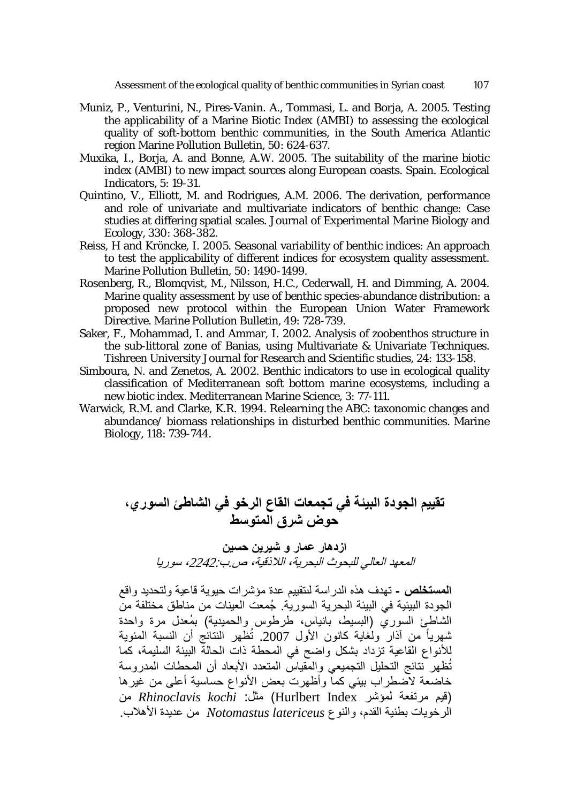- Muniz, P., Venturini, N., Pires-Vanin. A., Tommasi, L. and Borja, A. 2005. Testing the applicability of a Marine Biotic Index (AMBI) to assessing the ecological quality of soft-bottom benthic communities, in the South America Atlantic region Marine Pollution Bulletin, 50: 624-637.
- Muxika, I., Borja, A. and Bonne, A.W. 2005. The suitability of the marine biotic index (AMBI) to new impact sources along European coasts. Spain. Ecological Indicators, 5: 19-31.
- Quintino, V., Elliott, M. and Rodrigues, A.M. 2006. The derivation, performance and role of univariate and multivariate indicators of benthic change: Case studies at differing spatial scales. Journal of Experimental Marine Biology and Ecology, 330: 368-382.
- Reiss, H and Kröncke, I. 2005. Seasonal variability of benthic indices: An approach to test the applicability of different indices for ecosystem quality assessment. Marine Pollution Bulletin, 50: 1490-1499.
- Rosenberg, R., Blomqvist, M., Nilsson, H.C., Cederwall, H. and Dimming, A. 2004. Marine quality assessment by use of benthic species-abundance distribution: a proposed new protocol within the European Union Water Framework Directive. Marine Pollution Bulletin, 49: 728-739.
- Saker, F., Mohammad, I. and Ammar, I. 2002. Analysis of zoobenthos structure in the sub-littoral zone of Banias, using Multivariate & Univariate Techniques. Tishreen University Journal for Research and Scientific studies, 24: 133-158.
- Simboura, N. and Zenetos, A. 2002. Benthic indicators to use in ecological quality classification of Mediterranean soft bottom marine ecosystems, including a new biotic index. Mediterranean Marine Science, 3: 77-111.
- Warwick, R.M. and Clarke, K.R. 1994. Relearning the ABC: taxonomic changes and abundance/ biomass relationships in disturbed benthic communities. Marine Biology, 118: 739-744.

# **تقییم الجودة البیئة في تجمعات القاع الرخو في الشاطئ السوري، حوض شرق المتوسط**

**ازدھار عمار و شیرین حسین** المعھد العالي للبحوث البحریة، اللاذقیة، ص.ب،2242: سوریا

**المستخلص -** تھدف ھذه الدراسة لىتقییم عدة مؤشرات حیویة قاعیة ولتحدید واقع الجودة البیئیة في البیئة البحریة السوریة. جُمعت العینات من مناطق مختلفة من ُ الشاطئ السوري (البسیط، بانیاس، طرطوس والحمیدیة) بمعدل مرة واحدة شهریاً من آذار ولُغایة كانون الأول 2007. تُظهر النتائج أن النسبة المئویة للأنواع القاعیة تزداد بشكل واضح في المحطة ذات الحالة البیئة السلیمة، كما ُظھر نتائج التحلیل التجمیعي والمقیاس المتعدد الأبعاد أن المحطات المدروسة ت خاضعة لاضطراب بیئي كما وأظھرت بعض الأنواع حساسیة أعلى من غیرھا (قیم مرتفعة لمؤشر Index Hurlbert (مثل: *kochi Rhinoclavis* من الرخویات بطنیة القدم، والنوع *latericeus Notomastus* من عدیدة الأھلاب.